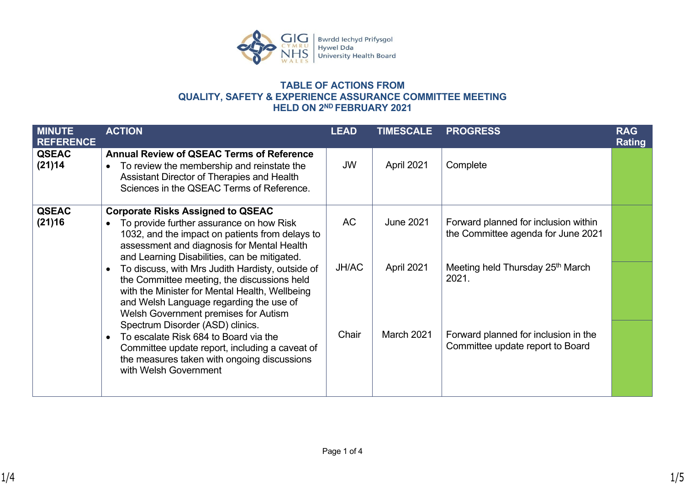

## **TABLE OF ACTIONS FROM QUALITY, SAFETY & EXPERIENCE ASSURANCE COMMITTEE MEETING HELD ON 2ND FEBRUARY 2021**

| <b>MINUTE</b><br><b>REFERENCE</b> | <b>ACTION</b>                                                                                                                                                                                                                         | <b>LEAD</b>  | <b>TIMESCALE</b>  | <b>PROGRESS</b>                                                            | <b>RAG</b><br><b>Rating</b> |
|-----------------------------------|---------------------------------------------------------------------------------------------------------------------------------------------------------------------------------------------------------------------------------------|--------------|-------------------|----------------------------------------------------------------------------|-----------------------------|
| <b>QSEAC</b><br>(21)14            | <b>Annual Review of QSEAC Terms of Reference</b><br>To review the membership and reinstate the<br>Assistant Director of Therapies and Health<br>Sciences in the QSEAC Terms of Reference.                                             | JW           | April 2021        | Complete                                                                   |                             |
| <b>QSEAC</b><br>(21)16            | <b>Corporate Risks Assigned to QSEAC</b><br>To provide further assurance on how Risk<br>1032, and the impact on patients from delays to<br>assessment and diagnosis for Mental Health<br>and Learning Disabilities, can be mitigated. | <b>AC</b>    | <b>June 2021</b>  | Forward planned for inclusion within<br>the Committee agenda for June 2021 |                             |
|                                   | To discuss, with Mrs Judith Hardisty, outside of<br>the Committee meeting, the discussions held<br>with the Minister for Mental Health, Wellbeing<br>and Welsh Language regarding the use of<br>Welsh Government premises for Autism  | <b>JH/AC</b> | April 2021        | Meeting held Thursday 25 <sup>th</sup> March<br>2021.                      |                             |
|                                   | Spectrum Disorder (ASD) clinics.<br>To escalate Risk 684 to Board via the<br>Committee update report, including a caveat of<br>the measures taken with ongoing discussions<br>with Welsh Government                                   | Chair        | <b>March 2021</b> | Forward planned for inclusion in the<br>Committee update report to Board   |                             |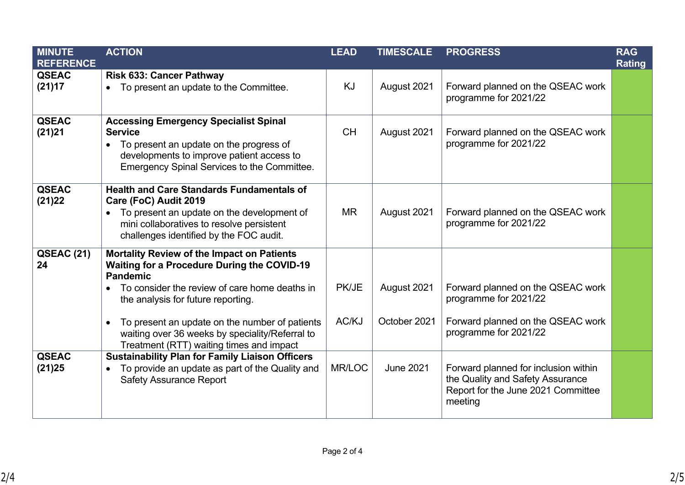| <b>MINUTE</b>           | <b>ACTION</b>                                                                                                                                                                                                                                                                                                                             | <b>LEAD</b>    | <b>TIMESCALE</b>            | <b>PROGRESS</b>                                                                                                           | <b>RAG</b>    |
|-------------------------|-------------------------------------------------------------------------------------------------------------------------------------------------------------------------------------------------------------------------------------------------------------------------------------------------------------------------------------------|----------------|-----------------------------|---------------------------------------------------------------------------------------------------------------------------|---------------|
| <b>REFERENCE</b>        |                                                                                                                                                                                                                                                                                                                                           |                |                             |                                                                                                                           | <b>Rating</b> |
| <b>QSEAC</b><br>(21)17  | <b>Risk 633: Cancer Pathway</b><br>To present an update to the Committee.<br>$\bullet$                                                                                                                                                                                                                                                    | KJ             | August 2021                 | Forward planned on the QSEAC work<br>programme for 2021/22                                                                |               |
| <b>QSEAC</b><br>(21)21  | <b>Accessing Emergency Specialist Spinal</b><br><b>Service</b><br>To present an update on the progress of<br>$\bullet$<br>developments to improve patient access to<br>Emergency Spinal Services to the Committee.                                                                                                                        | <b>CH</b>      | August 2021                 | Forward planned on the QSEAC work<br>programme for 2021/22                                                                |               |
| <b>QSEAC</b><br>(21)22  | <b>Health and Care Standards Fundamentals of</b><br>Care (FoC) Audit 2019<br>To present an update on the development of<br>$\bullet$<br>mini collaboratives to resolve persistent<br>challenges identified by the FOC audit.                                                                                                              | <b>MR</b>      | August 2021                 | Forward planned on the QSEAC work<br>programme for 2021/22                                                                |               |
| <b>QSEAC (21)</b><br>24 | Mortality Review of the Impact on Patients<br><b>Waiting for a Procedure During the COVID-19</b><br><b>Pandemic</b><br>To consider the review of care home deaths in<br>$\bullet$<br>the analysis for future reporting.<br>To present an update on the number of patients<br>$\bullet$<br>waiting over 36 weeks by speciality/Referral to | PK/JE<br>AC/KJ | August 2021<br>October 2021 | Forward planned on the QSEAC work<br>programme for 2021/22<br>Forward planned on the QSEAC work<br>programme for 2021/22  |               |
|                         | Treatment (RTT) waiting times and impact                                                                                                                                                                                                                                                                                                  |                |                             |                                                                                                                           |               |
| <b>QSEAC</b><br>(21)25  | <b>Sustainability Plan for Family Liaison Officers</b><br>To provide an update as part of the Quality and<br>$\bullet$<br><b>Safety Assurance Report</b>                                                                                                                                                                                  | MR/LOC         | <b>June 2021</b>            | Forward planned for inclusion within<br>the Quality and Safety Assurance<br>Report for the June 2021 Committee<br>meeting |               |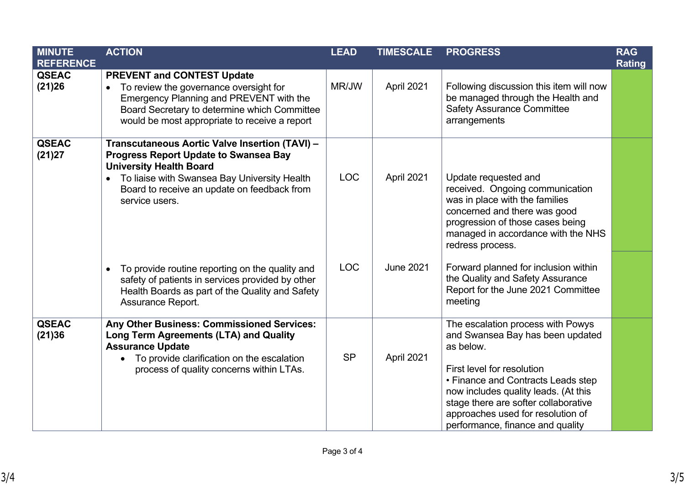| <b>MINUTE</b>          | <b>ACTION</b>                                                                                                                                                                                                                                                                                        | <b>LEAD</b>              | <b>TIMESCALE</b>               | <b>PROGRESS</b>                                                                                                                                                                                                                                                                                                 | <b>RAG</b>    |
|------------------------|------------------------------------------------------------------------------------------------------------------------------------------------------------------------------------------------------------------------------------------------------------------------------------------------------|--------------------------|--------------------------------|-----------------------------------------------------------------------------------------------------------------------------------------------------------------------------------------------------------------------------------------------------------------------------------------------------------------|---------------|
| <b>REFERENCE</b>       |                                                                                                                                                                                                                                                                                                      |                          |                                |                                                                                                                                                                                                                                                                                                                 | <b>Rating</b> |
| <b>QSEAC</b><br>(21)26 | <b>PREVENT and CONTEST Update</b><br>To review the governance oversight for<br>Emergency Planning and PREVENT with the<br>Board Secretary to determine which Committee<br>would be most appropriate to receive a report                                                                              | MR/JW                    | April 2021                     | Following discussion this item will now<br>be managed through the Health and<br><b>Safety Assurance Committee</b><br>arrangements                                                                                                                                                                               |               |
| <b>QSEAC</b><br>(21)27 | Transcutaneous Aortic Valve Insertion (TAVI) -<br><b>Progress Report Update to Swansea Bay</b><br><b>University Health Board</b><br>To liaise with Swansea Bay University Health<br>Board to receive an update on feedback from<br>service users.<br>To provide routine reporting on the quality and | <b>LOC</b><br><b>LOC</b> | April 2021<br><b>June 2021</b> | Update requested and<br>received. Ongoing communication<br>was in place with the families<br>concerned and there was good<br>progression of those cases being<br>managed in accordance with the NHS<br>redress process.<br>Forward planned for inclusion within<br>the Quality and Safety Assurance             |               |
|                        | safety of patients in services provided by other<br>Health Boards as part of the Quality and Safety<br>Assurance Report.                                                                                                                                                                             |                          |                                | Report for the June 2021 Committee<br>meeting                                                                                                                                                                                                                                                                   |               |
| <b>QSEAC</b><br>(21)36 | Any Other Business: Commissioned Services:<br>Long Term Agreements (LTA) and Quality<br><b>Assurance Update</b><br>To provide clarification on the escalation<br>process of quality concerns within LTAs.                                                                                            | <b>SP</b>                | April 2021                     | The escalation process with Powys<br>and Swansea Bay has been updated<br>as below.<br>First level for resolution<br>• Finance and Contracts Leads step<br>now includes quality leads. (At this<br>stage there are softer collaborative<br>approaches used for resolution of<br>performance, finance and quality |               |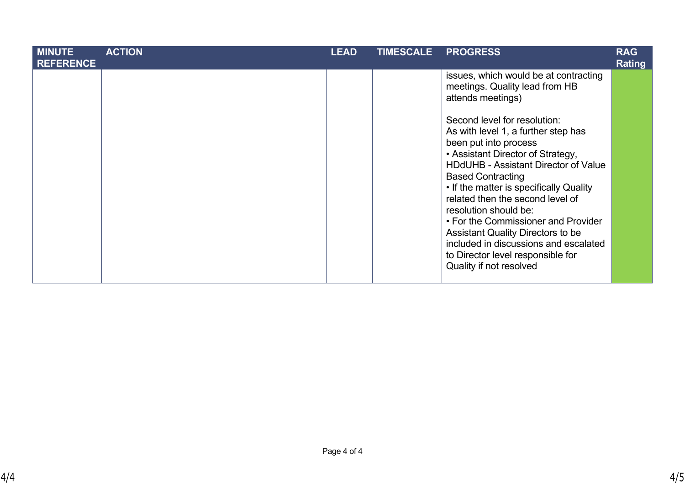| <b>MINUTE</b><br><b>REFERENCE</b> | <b>ACTION</b> | <b>LEAD</b> | <b>TIMESCALE</b> | <b>PROGRESS</b>                                                                                                                                                                                                                                                                                                                                                                                                                                                                                                  | <b>RAG</b><br><b>Rating</b> |
|-----------------------------------|---------------|-------------|------------------|------------------------------------------------------------------------------------------------------------------------------------------------------------------------------------------------------------------------------------------------------------------------------------------------------------------------------------------------------------------------------------------------------------------------------------------------------------------------------------------------------------------|-----------------------------|
|                                   |               |             |                  | issues, which would be at contracting<br>meetings. Quality lead from HB<br>attends meetings)                                                                                                                                                                                                                                                                                                                                                                                                                     |                             |
|                                   |               |             |                  | Second level for resolution:<br>As with level 1, a further step has<br>been put into process<br>• Assistant Director of Strategy,<br><b>HDdUHB - Assistant Director of Value</b><br><b>Based Contracting</b><br>• If the matter is specifically Quality<br>related then the second level of<br>resolution should be:<br>• For the Commissioner and Provider<br><b>Assistant Quality Directors to be</b><br>included in discussions and escalated<br>to Director level responsible for<br>Quality if not resolved |                             |